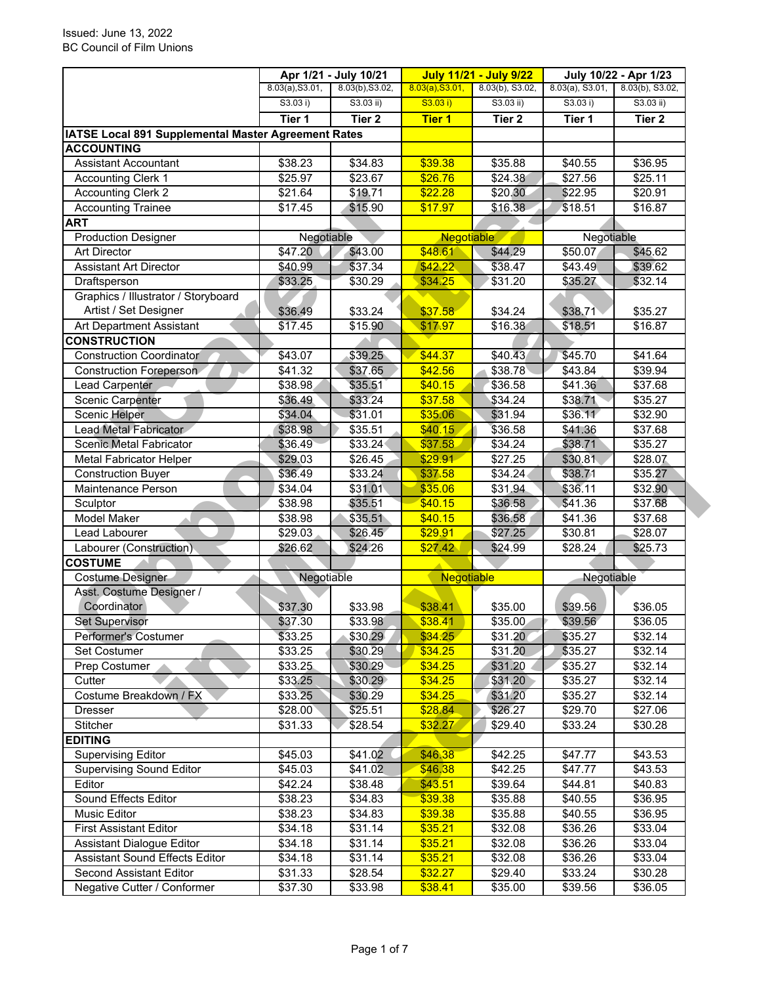|                                                     | Apr 1/21 - July 10/21 |                    | <b>July 11/21 - July 9/22</b> |                     | July 10/22 - Apr 1/23 |                    |
|-----------------------------------------------------|-----------------------|--------------------|-------------------------------|---------------------|-----------------------|--------------------|
|                                                     | 8.03(a), S3.01,       | 8.03(b), S3.02,    | 8.03(a), S3.01,               | 8.03(b), S3.02,     | $8.03(a)$ , S3.01,    | 8.03(b), S3.02,    |
|                                                     | S3.03 i)              | $S3.03$ ii)        | S3.03 i)                      | $S3.03$ ii)         | S3.03 i)              | $S3.03$ ii)        |
|                                                     | Tier 1                | Tier <sub>2</sub>  | <b>Tier 1</b>                 | Tier <sub>2</sub>   | Tier 1                | Tier <sub>2</sub>  |
| IATSE Local 891 Supplemental Master Agreement Rates |                       |                    |                               |                     |                       |                    |
| <b>ACCOUNTING</b>                                   |                       |                    |                               |                     |                       |                    |
| <b>Assistant Accountant</b>                         | \$38.23               | \$34.83            | \$39.38                       | \$35.88             | \$40.55               | \$36.95            |
| <b>Accounting Clerk 1</b>                           | \$25.97               | \$23.67            | \$26.76                       | \$24.38             | \$27.56               | \$25.11            |
| <b>Accounting Clerk 2</b>                           | \$21.64               | \$19.71            | \$22.28                       | \$20.30             | \$22.95               | \$20.91            |
| <b>Accounting Trainee</b>                           | \$17.45               | \$15.90            | \$17.97                       | \$16.38             | \$18.51               | \$16.87            |
| <b>ART</b>                                          |                       |                    |                               |                     |                       |                    |
| <b>Production Designer</b>                          | Negotiable            |                    | Negotiable                    |                     | Negotiable            |                    |
| <b>Art Director</b>                                 | \$47.20               | \$43.00            | \$48.61                       | \$44.29             | \$50.07               | \$45.62            |
| <b>Assistant Art Director</b>                       | \$40.99               | \$37.34            | \$42.22                       | \$38.47             | \$43.49               | \$39.62            |
| Draftsperson                                        | \$33.25               | \$30.29            | \$34.25                       | \$31.20             | \$35.27               | \$32.14            |
| Graphics / Illustrator / Storyboard                 |                       |                    |                               |                     |                       |                    |
| Artist / Set Designer                               | \$36.49               | \$33.24            | \$37.58                       | \$34.24             | \$38.71               | \$35.27            |
| Art Department Assistant                            | \$17.45               | \$15.90            | \$17.97                       | \$16.38             | \$18.51               | \$16.87            |
| <b>CONSTRUCTION</b>                                 |                       |                    |                               |                     |                       |                    |
| <b>Construction Coordinator</b>                     | \$43.07               | \$39.25            | \$44.37                       | \$40.43             | \$45.70               | \$41.64            |
| <b>Construction Foreperson</b>                      | \$41.32               | \$37.65            | \$42.56                       | \$38.78             | \$43.84               | \$39.94            |
| Lead Carpenter                                      | \$38.98               | \$35.51            | \$40.15                       | \$36.58             | \$41.36               | \$37.68            |
| Scenic Carpenter                                    | \$36.49               | \$33.24            | \$37.58                       | \$34.24             | \$38.71               | \$35.27            |
| <b>Scenic Helper</b>                                | \$34.04               | \$31.01            | \$35.06                       | \$31.94             | \$36.11               | \$32.90            |
| Lead Metal Fabricator                               | \$38.98               | \$35.51            | \$40.15                       | \$36.58             | \$41.36               | \$37.68            |
| Scenic Metal Fabricator                             | \$36.49               | \$33.24            | \$37.58                       | \$34.24             | \$38.71               | \$35.27            |
| <b>Metal Fabricator Helper</b>                      | \$29.03               | \$26.45            | \$29.91                       | $\overline{$27.25}$ | \$30.81               | \$28.07            |
| <b>Construction Buyer</b>                           | \$36.49               | \$33.24            | \$37.58                       | \$34.24             | \$38.71               | \$35.27            |
| Maintenance Person                                  | \$34.04               | \$31.01            | \$35.06                       | \$31.94             | \$36.11               | \$32.90            |
| Sculptor                                            | \$38.98               | \$35.51            | \$40.15                       | \$36.58             | \$41.36               | \$37.68            |
| <b>Model Maker</b>                                  | \$38.98               | \$35.51            | \$40.15                       | \$36.58             | \$41.36               | \$37.68            |
| Lead Labourer                                       | \$29.03               | \$26.45            | \$29.91                       | \$27.25             | \$30.81               | \$28.07            |
| Labourer (Construction)                             | \$26.62               | \$24.26            | \$27.42                       | \$24.99             | \$28.24               | \$25.73            |
| <b>COSTUME</b>                                      |                       |                    |                               |                     |                       |                    |
| Costume Designer                                    | Negotiable            |                    | Negotiable                    |                     | Negotiable            |                    |
| Asst. Costume Designer /                            |                       |                    |                               |                     |                       |                    |
| Coordinator                                         | \$37.30               | \$33.98            | \$38.41                       | \$35.00             | \$39.56               | \$36.05            |
| <b>Set Supervisor</b>                               | \$37.30               | \$33.98            | \$38.41                       | \$35.00             | \$39.56               | \$36.05            |
| Performer's Costumer                                | \$33.25               | \$30.29            | \$34.25                       | \$31.20             | \$35.27               | \$32.14            |
| Set Costumer                                        | \$33.25               | \$30.29            | \$34.25                       | \$31.20             | \$35.27               | \$32.14            |
| Prep Costumer                                       | \$33.25               | \$30.29            | \$34.25                       | \$31.20             | \$35.27               | \$32.14            |
| Cutter                                              | \$33.25               | \$30.29            | \$34.25                       | \$31.20             | \$35.27               | \$32.14            |
| Costume Breakdown / FX                              |                       |                    |                               |                     |                       |                    |
| <b>Dresser</b>                                      | \$33.25<br>\$28.00    | \$30.29<br>\$25.51 | \$34.25<br>\$28.84            | \$31.20<br>\$26.27  | \$35.27<br>\$29.70    | \$32.14<br>\$27.06 |
|                                                     |                       |                    | \$32.27                       |                     |                       |                    |
| Stitcher                                            | \$31.33               | \$28.54            |                               | \$29.40             | \$33.24               | \$30.28            |
| <b>EDITING</b><br><b>Supervising Editor</b>         |                       |                    |                               |                     |                       |                    |
|                                                     | \$45.03               | \$41.02            | \$46.38                       | \$42.25             | \$47.77               | \$43.53            |
| <b>Supervising Sound Editor</b>                     | \$45.03               | \$41.02            | \$46.38                       | \$42.25             | \$47.77               | \$43.53            |
| Editor                                              | \$42.24               | \$38.48            | \$43.51                       | \$39.64             | \$44.81               | \$40.83            |
| Sound Effects Editor                                | \$38.23               | \$34.83            | \$39.38                       | \$35.88             | \$40.55               | \$36.95            |
| Music Editor                                        | \$38.23               | \$34.83            | \$39.38                       | \$35.88             | \$40.55               | \$36.95            |
| <b>First Assistant Editor</b>                       | \$34.18               | \$31.14            | \$35.21                       | \$32.08             | \$36.26               | \$33.04            |
| <b>Assistant Dialogue Editor</b>                    | \$34.18               | \$31.14            | \$35.21                       | \$32.08             | \$36.26               | \$33.04            |
| <b>Assistant Sound Effects Editor</b>               | \$34.18               | \$31.14            | \$35.21                       | \$32.08             | \$36.26               | \$33.04            |
| Second Assistant Editor                             | \$31.33               | \$28.54            | \$32.27                       | \$29.40             | \$33.24               | \$30.28            |
| Negative Cutter / Conformer                         | \$37.30               | \$33.98            | \$38.41                       | \$35.00             | \$39.56               | \$36.05            |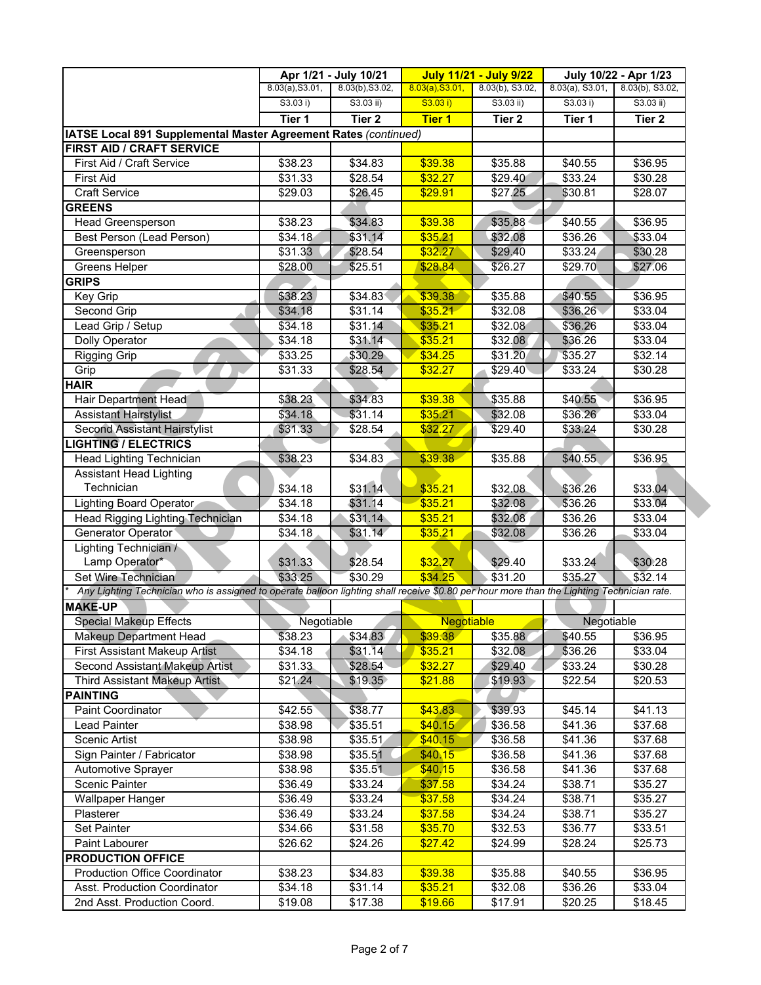|                                                                                                                                           |                 | Apr 1/21 - July 10/21 | <b>July 11/21 - July 9/22</b><br>July 10/22 - Apr 1/23 |                 |                    |                   |
|-------------------------------------------------------------------------------------------------------------------------------------------|-----------------|-----------------------|--------------------------------------------------------|-----------------|--------------------|-------------------|
|                                                                                                                                           | 8.03(a), S3.01, | 8.03(b), S3.02,       | 8.03(a), S3.01,                                        | 8.03(b), S3.02, | $8.03(a)$ , S3.01, | 8.03(b), S3.02,   |
|                                                                                                                                           | S3.03 i)        | $S3.03$ ii)           | S3.03 i)                                               | $S3.03$ ii)     | S3.03 i)           | $S3.03$ ii)       |
|                                                                                                                                           | Tier 1          | Tier <sub>2</sub>     | <b>Tier 1</b>                                          | Tier 2          | Tier 1             | Tier <sub>2</sub> |
| IATSE Local 891 Supplemental Master Agreement Rates (continued)                                                                           |                 |                       |                                                        |                 |                    |                   |
| <b>FIRST AID / CRAFT SERVICE</b>                                                                                                          |                 |                       |                                                        |                 |                    |                   |
| First Aid / Craft Service                                                                                                                 | \$38.23         | \$34.83               | \$39.38                                                | \$35.88         | \$40.55            | \$36.95           |
| <b>First Aid</b>                                                                                                                          | \$31.33         | \$28.54               | \$32.27                                                | \$29.40         | \$33.24            | \$30.28           |
| <b>Craft Service</b>                                                                                                                      | \$29.03         | \$26.45               | \$29.91                                                | \$27.25         | \$30.81            | \$28.07           |
| <b>GREENS</b>                                                                                                                             |                 |                       |                                                        |                 |                    |                   |
| Head Greensperson                                                                                                                         | \$38.23         | \$34.83               | \$39.38                                                | \$35.88         | \$40.55            | \$36.95           |
| Best Person (Lead Person)                                                                                                                 | \$34.18         | \$31.14               | \$35.21                                                | \$32.08         | \$36.26            | \$33.04           |
| Greensperson                                                                                                                              | \$31.33         | \$28.54               | \$32.27                                                | \$29.40         | \$33.24            | \$30.28           |
| Greens Helper                                                                                                                             | \$28.00         | \$25.51               | \$28.84                                                | \$26.27         | \$29.70            | \$27.06           |
| <b>GRIPS</b>                                                                                                                              |                 |                       |                                                        |                 |                    |                   |
| Key Grip                                                                                                                                  | \$38.23         | \$34.83               | \$39.38                                                | \$35.88         | \$40.55            | \$36.95           |
| Second Grip                                                                                                                               | \$34.18         | \$31.14               | \$35.21                                                | \$32.08         | \$36.26            | \$33.04           |
| Lead Grip / Setup                                                                                                                         | \$34.18         | \$31.14               | \$35.21                                                | \$32.08         | \$36.26            | \$33.04           |
| <b>Dolly Operator</b>                                                                                                                     | \$34.18         | \$31.14               | \$35.21                                                | \$32.08         | \$36.26            | \$33.04           |
|                                                                                                                                           | \$33.25         | \$30.29               | \$34.25                                                | \$31.20         | \$35.27            | \$32.14           |
| <b>Rigging Grip</b>                                                                                                                       |                 |                       |                                                        |                 |                    |                   |
| Grip                                                                                                                                      | \$31.33         | \$28.54               | \$32.27                                                | \$29.40         | \$33.24            | \$30.28           |
| <b>HAIR</b>                                                                                                                               |                 |                       |                                                        |                 |                    |                   |
| <b>Hair Department Head</b>                                                                                                               | \$38.23         | \$34.83               | \$39.38                                                | \$35.88         | \$40.55            | \$36.95           |
| <b>Assistant Hairstylist</b>                                                                                                              | \$34.18         | \$31.14               | \$35.21                                                | \$32.08         | \$36.26            | \$33.04           |
| <b>Second Assistant Hairstylist</b>                                                                                                       | \$31.33         | \$28.54               | \$32.27                                                | \$29.40         | \$33.24            | \$30.28           |
| <b>LIGHTING / ELECTRICS</b>                                                                                                               |                 |                       |                                                        |                 |                    |                   |
| Head Lighting Technician                                                                                                                  | \$38.23         | \$34.83               | \$39.38                                                | \$35.88         | \$40.55            | \$36.95           |
| <b>Assistant Head Lighting</b>                                                                                                            |                 |                       |                                                        |                 |                    |                   |
| Technician                                                                                                                                | \$34.18         | \$31.14               | \$35.21                                                | \$32.08         | \$36.26            | \$33.04           |
| Lighting Board Operator                                                                                                                   | \$34.18         | \$31.14               | \$35.21                                                | \$32.08         | \$36.26            | \$33.04           |
| Head Rigging Lighting Technician                                                                                                          | \$34.18         | \$31.14               | \$35.21                                                | \$32.08         | \$36.26            | \$33.04           |
| Generator Operator                                                                                                                        | \$34.18         | \$31.14               | \$35.21                                                | \$32.08         | \$36.26            | \$33.04           |
| Lighting Technician /                                                                                                                     |                 |                       |                                                        |                 |                    |                   |
| Lamp Operator*                                                                                                                            | \$31.33         | \$28.54               | \$32.27                                                | \$29.40         | \$33.24            | \$30.28           |
| Set Wire Technician                                                                                                                       | \$33.25         | \$30.29               | \$34.25                                                | \$31.20         | \$35.27            | \$32.14           |
| Any Lighting Technician who is assigned to operate balloon lighting shall receive \$0.80 per hour more than the Lighting Technician rate. |                 |                       |                                                        |                 |                    |                   |
| <b>MAKE-UP</b>                                                                                                                            |                 |                       |                                                        |                 |                    |                   |
| <b>Special Makeup Effects</b>                                                                                                             | Negotiable      |                       | <b>Negotiable</b>                                      |                 | Negotiable         |                   |
| Makeup Department Head                                                                                                                    | \$38.23         | \$34.83               | \$39.38                                                | \$35.88         | \$40.55            | \$36.95           |
| First Assistant Makeup Artist                                                                                                             | \$34.18         | \$31.14               | \$35.21                                                | \$32.08         | \$36.26            | \$33.04           |
| Second Assistant Makeup Artist                                                                                                            | \$31.33         | \$28.54               | \$32.27                                                | \$29.40         | \$33.24            | \$30.28           |
| <b>Third Assistant Makeup Artist</b>                                                                                                      | \$21.24         | \$19.35               | \$21.88                                                | \$19.93         | \$22.54            | \$20.53           |
| <b>PAINTING</b>                                                                                                                           |                 |                       |                                                        |                 |                    |                   |
| <b>Paint Coordinator</b>                                                                                                                  | \$42.55         | \$38.77               | \$43.83                                                | \$39.93         | \$45.14            | \$41.13           |
| Lead Painter                                                                                                                              | \$38.98         | \$35.51               | \$40.15                                                | \$36.58         | \$41.36            | \$37.68           |
| Scenic Artist                                                                                                                             | \$38.98         | \$35.51               | \$40.15                                                | \$36.58         | \$41.36            | \$37.68           |
| Sign Painter / Fabricator                                                                                                                 | \$38.98         | \$35.51               | \$40.15                                                | \$36.58         | \$41.36            | \$37.68           |
| Automotive Sprayer                                                                                                                        | \$38.98         | \$35.51               | \$40.15                                                | \$36.58         | \$41.36            | \$37.68           |
|                                                                                                                                           |                 |                       |                                                        |                 |                    |                   |
| Scenic Painter                                                                                                                            | \$36.49         | \$33.24               | \$37.58                                                | \$34.24         | \$38.71            | \$35.27           |
| <b>Wallpaper Hanger</b>                                                                                                                   | \$36.49         | \$33.24               | \$37.58                                                | \$34.24         | \$38.71            | \$35.27           |
| Plasterer                                                                                                                                 | \$36.49         | \$33.24               | \$37.58                                                | \$34.24         | \$38.71            | \$35.27           |
| <b>Set Painter</b>                                                                                                                        | \$34.66         | \$31.58               | \$35.70                                                | \$32.53         | \$36.77            | \$33.51           |
| Paint Labourer                                                                                                                            | \$26.62         | \$24.26               | \$27.42                                                | \$24.99         | \$28.24            | \$25.73           |
| <b>PRODUCTION OFFICE</b>                                                                                                                  |                 |                       |                                                        |                 |                    |                   |
| <b>Production Office Coordinator</b>                                                                                                      | \$38.23         | \$34.83               | \$39.38                                                | \$35.88         | \$40.55            | \$36.95           |
| Asst. Production Coordinator                                                                                                              | \$34.18         | \$31.14               | \$35.21                                                | \$32.08         | \$36.26            | \$33.04           |
| 2nd Asst. Production Coord.                                                                                                               | \$19.08         | \$17.38               | \$19.66                                                | \$17.91         | \$20.25            | \$18.45           |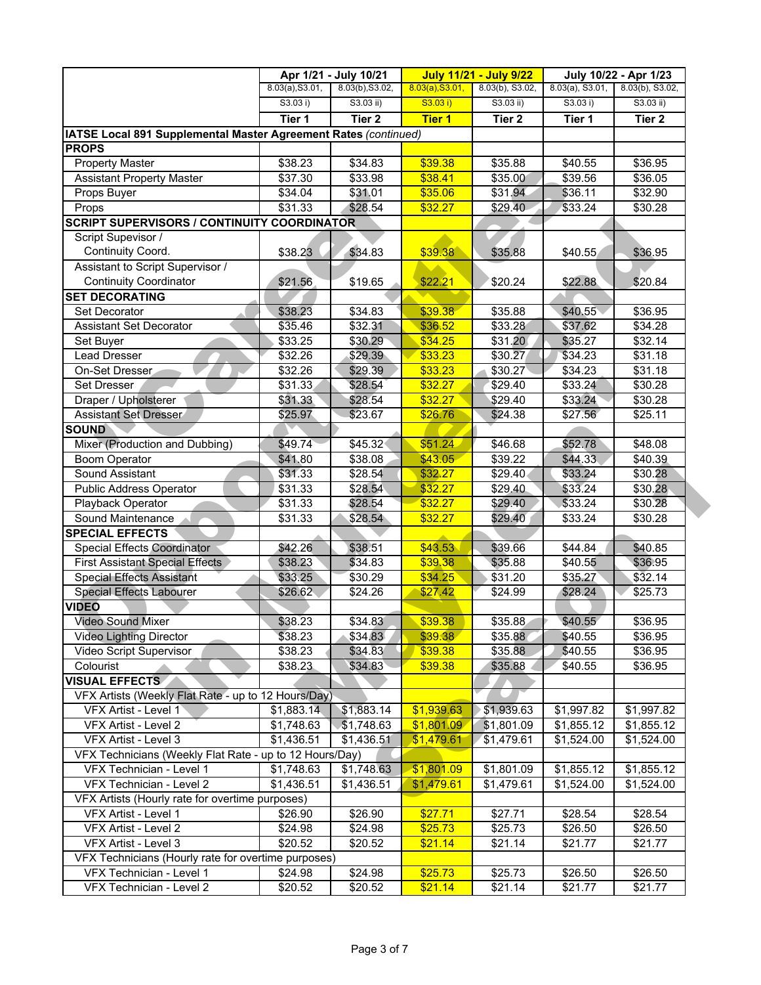|                                                                 | Apr 1/21 - July 10/21<br><b>July 11/21 - July 9/22</b> |                     |                 | July 10/22 - Apr 1/23 |                    |                   |
|-----------------------------------------------------------------|--------------------------------------------------------|---------------------|-----------------|-----------------------|--------------------|-------------------|
|                                                                 | 8.03(a), S3.01,                                        | 8.03(b), S3.02,     | 8.03(a), S3.01, | 8.03(b), S3.02,       | $8.03(a)$ , S3.01, | 8.03(b), S3.02,   |
|                                                                 | S3.03 i)                                               | $S3.03$ ii)         | S3.03 i)        | $S3.03$ ii)           | S3.03 i)           | $S3.03$ ii)       |
|                                                                 | Tier 1                                                 | Tier <sub>2</sub>   | <b>Tier 1</b>   | Tier 2                | Tier 1             | Tier <sub>2</sub> |
| IATSE Local 891 Supplemental Master Agreement Rates (continued) |                                                        |                     |                 |                       |                    |                   |
| <b>PROPS</b>                                                    |                                                        |                     |                 |                       |                    |                   |
| <b>Property Master</b>                                          | \$38.23                                                | \$34.83             | \$39.38         | \$35.88               | \$40.55            | \$36.95           |
| <b>Assistant Property Master</b>                                | \$37.30                                                | \$33.98             | \$38.41         | \$35.00               | \$39.56            | \$36.05           |
| Props Buyer                                                     | \$34.04                                                | \$31.01             | \$35.06         | \$31.94               | \$36.11            | \$32.90           |
| Props                                                           | \$31.33                                                | \$28.54             | \$32.27         | \$29.40               | \$33.24            | \$30.28           |
| <b>SCRIPT SUPERVISORS / CONTINUITY COORDINATOR</b>              |                                                        |                     |                 |                       |                    |                   |
| Script Supevisor /                                              |                                                        |                     |                 |                       |                    |                   |
| Continuity Coord.                                               | \$38.23                                                | \$34.83             | \$39.38         | \$35.88               | \$40.55            | \$36.95           |
| Assistant to Script Supervisor /                                |                                                        |                     |                 |                       |                    |                   |
| <b>Continuity Coordinator</b>                                   | \$21.56                                                | \$19.65             | \$22.21         | \$20.24               | \$22.88            | \$20.84           |
| <b>SET DECORATING</b>                                           |                                                        |                     |                 |                       |                    |                   |
| Set Decorator                                                   | \$38.23                                                | \$34.83             | \$39.38         | \$35.88               | \$40.55            | \$36.95           |
| <b>Assistant Set Decorator</b>                                  | \$35.46                                                | \$32.31             | \$36.52         | \$33.28               | \$37.62            | \$34.28           |
| Set Buyer                                                       | \$33.25                                                | \$30.29             | \$34.25         | \$31.20               | \$35.27            | \$32.14           |
| <b>Lead Dresser</b>                                             | \$32.26                                                | \$29.39             | \$33.23         | \$30.27               | \$34.23            | \$31.18           |
| On-Set Dresser                                                  | \$32.26                                                | \$29.39             | \$33.23         | \$30.27               | \$34.23            | \$31.18           |
| <b>Set Dresser</b>                                              | \$31.33                                                | \$28.54             | \$32.27         | \$29.40               | \$33.24            | \$30.28           |
| Draper / Upholsterer                                            | \$31.33                                                | \$28.54             | \$32.27         | \$29.40               | \$33.24            | \$30.28           |
| <b>Assistant Set Dresser</b>                                    | \$25.97                                                | \$23.67             | \$26.76         | \$24.38               | \$27.56            | \$25.11           |
| <b>SOUND</b>                                                    |                                                        |                     |                 |                       |                    |                   |
| Mixer (Production and Dubbing)                                  | \$49.74                                                | \$45.32             | \$51.24         | \$46.68               | \$52.78            | \$48.08           |
| <b>Boom Operator</b>                                            | \$41.80                                                | \$38.08             | \$43.05         | \$39.22               | \$44.33            | \$40.39           |
| Sound Assistant                                                 | \$31.33                                                | \$28.54             | \$32.27         | \$29.40               | \$33.24            | \$30.28           |
| <b>Public Address Operator</b>                                  | \$31.33                                                | \$28.54             | \$32.27         | \$29.40               | \$33.24            | \$30.28           |
| Playback Operator                                               | $\overline{$}31.33$                                    | \$28.54             | \$32.27         | \$29.40               | \$33.24            | \$30.28           |
| Sound Maintenance                                               | \$31.33                                                | \$28.54             | \$32.27         | \$29.40               | \$33.24            | \$30.28           |
| <b>SPECIAL EFFECTS</b>                                          |                                                        |                     |                 |                       |                    |                   |
| <b>Special Effects Coordinator</b>                              | \$42.26                                                | \$38.51             | \$43.53         | \$39.66               | \$44.84            | \$40.85           |
| <b>First Assistant Special Effects</b>                          | \$38.23                                                | \$34.83             | \$39.38         | \$35.88               | \$40.55            | \$36.95           |
| <b>Special Effects Assistant</b>                                | \$33.25                                                | \$30.29             | \$34.25         | \$31.20               | \$35.27            | \$32.14           |
| <b>Special Effects Labourer</b>                                 | \$26.62                                                | $\overline{$}24.26$ | \$27.42         | \$24.99               | \$28.24            | \$25.73           |
| <b>VIDEO</b>                                                    |                                                        |                     |                 |                       |                    |                   |
| Video Sound Mixer                                               | \$38.23                                                | \$34.83             | \$39.38         | \$35.88               | \$40.55            | \$36.95           |
| <b>Video Lighting Director</b>                                  | \$38.23                                                | \$34.83             | \$39.38         | \$35.88               | \$40.55            | \$36.95           |
| Video Script Supervisor                                         | \$38.23                                                | \$34.83             | \$39.38         | \$35.88               | \$40.55            | \$36.95           |
| Colourist                                                       | \$38.23                                                | \$34.83             | \$39.38         | \$35.88               | \$40.55            | \$36.95           |
| <b>VISUAL EFFECTS</b>                                           |                                                        |                     |                 |                       |                    |                   |
| VFX Artists (Weekly Flat Rate - up to 12 Hours/Day)             |                                                        |                     |                 |                       |                    |                   |
| VFX Artist - Level 1                                            | \$1,883.14                                             | \$1,883.14          | \$1,939.63      | \$1,939.63            | \$1,997.82         | \$1,997.82        |
| VFX Artist - Level 2                                            | \$1,748.63                                             | \$1,748.63          | \$1,801.09      | \$1,801.09            | \$1,855.12         | \$1,855.12        |
| VFX Artist - Level 3                                            | \$1,436.51                                             | \$1,436.51          | \$1,479.61      | \$1,479.61            | \$1,524.00         | \$1,524.00        |
| VFX Technicians (Weekly Flat Rate - up to 12 Hours/Day)         |                                                        |                     |                 |                       |                    |                   |
| VFX Technician - Level 1                                        | \$1,748.63                                             | \$1,748.63          | \$1,801.09      | \$1,801.09            | \$1,855.12         | \$1,855.12        |
| VFX Technician - Level 2                                        | \$1,436.51                                             | \$1,436.51          | \$1,479.61      | \$1,479.61            | \$1,524.00         | \$1,524.00        |
| VFX Artists (Hourly rate for overtime purposes)                 |                                                        |                     |                 |                       |                    |                   |
| VFX Artist - Level 1                                            | \$26.90                                                | \$26.90             | \$27.71         | \$27.71               | \$28.54            | \$28.54           |
| VFX Artist - Level 2                                            | \$24.98                                                | \$24.98             | \$25.73         | \$25.73               | \$26.50            | \$26.50           |
| VFX Artist - Level 3                                            | \$20.52                                                | \$20.52             | \$21.14         | \$21.14               | \$21.77            | \$21.77           |
| VFX Technicians (Hourly rate for overtime purposes)             |                                                        |                     |                 |                       |                    |                   |
| VFX Technician - Level 1                                        | \$24.98                                                | \$24.98             | \$25.73         | \$25.73               | \$26.50            | \$26.50           |
| VFX Technician - Level 2                                        | \$20.52                                                | \$20.52             | \$21.14         | \$21.14               | \$21.77            | \$21.77           |
|                                                                 |                                                        |                     |                 |                       |                    |                   |